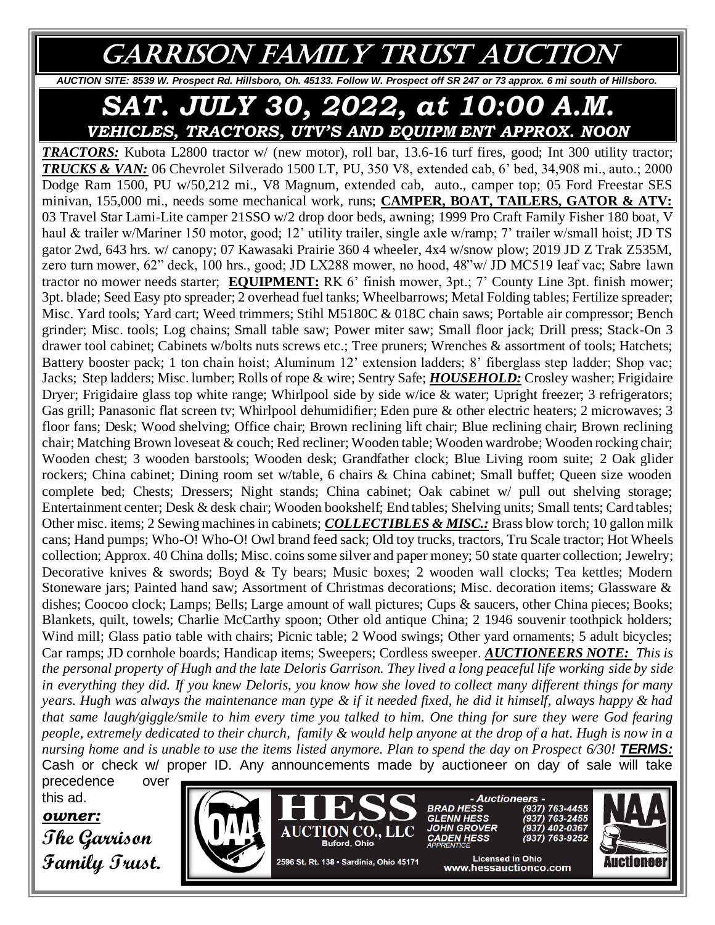## GARRISON FAMILY TRUST AUCTION

*AUCTION SITE: 8539 W. Prospect Rd. Hillsboro, Oh. 45133. Follow W. Prospect off SR 247 or 73 approx. 6 mi south of Hillsboro.* 

*SAT. JULY 30, 2022, at 10:00 A.M. VEHICLES, TRACTORS, UTV'S AND EQUIPM ENT APPROX. NOON*

*TRACTORS:* Kubota L2800 tractor w/ (new motor), roll bar, 13.6-16 turf fires, good; Int 300 utility tractor; *TRUCKS & VAN:* 06 Chevrolet Silverado 1500 LT, PU, 350 V8, extended cab, 6' bed, 34,908 mi., auto.; 2000 Dodge Ram 1500, PU w/50,212 mi., V8 Magnum, extended cab, auto., camper top; 05 Ford Freestar SES minivan, 155,000 mi., needs some mechanical work, runs; **CAMPER, BOAT, TAILERS, GATOR & ATV:**  03 Travel Star Lami-Lite camper 21SSO w/2 drop door beds, awning; 1999 Pro Craft Family Fisher 180 boat, V haul & trailer w/Mariner 150 motor, good; 12' utility trailer, single axle w/ramp; 7' trailer w/small hoist; JD TS gator 2wd, 643 hrs. w/ canopy; 07 Kawasaki Prairie 360 4 wheeler, 4x4 w/snow plow; 2019 JD Z Trak Z535M, zero turn mower, 62" deck, 100 hrs., good; JD LX288 mower, no hood, 48"w/ JD MC519 leaf vac; Sabre lawn tractor no mower needs starter; **EQUIPMENT:** RK 6' finish mower, 3pt.; 7' County Line 3pt. finish mower; 3pt. blade; Seed Easy pto spreader; 2 overhead fuel tanks; Wheelbarrows; Metal Folding tables; Fertilize spreader; Misc. Yard tools; Yard cart; Weed trimmers; Stihl M5180C & 018C chain saws; Portable air compressor; Bench grinder; Misc. tools; Log chains; Small table saw; Power miter saw; Small floor jack; Drill press; Stack-On 3 drawer tool cabinet; Cabinets w/bolts nuts screws etc.; Tree pruners; Wrenches & assortment of tools; Hatchets; Battery booster pack; 1 ton chain hoist; Aluminum 12' extension ladders; 8' fiberglass step ladder; Shop vac; Jacks; Step ladders; Misc. lumber; Rolls of rope & wire; Sentry Safe; *HOUSEHOLD:* Crosley washer; Frigidaire Dryer; Frigidaire glass top white range; Whirlpool side by side w/ice & water; Upright freezer; 3 refrigerators; Gas grill; Panasonic flat screen tv; Whirlpool dehumidifier; Eden pure & other electric heaters; 2 microwaves; 3 floor fans; Desk; Wood shelving; Office chair; Brown reclining lift chair; Blue reclining chair; Brown reclining chair; Matching Brown loveseat & couch; Red recliner; Wooden table; Wooden wardrobe; Wooden rocking chair; Wooden chest; 3 wooden barstools; Wooden desk; Grandfather clock; Blue Living room suite; 2 Oak glider rockers; China cabinet; Dining room set w/table, 6 chairs & China cabinet; Small buffet; Queen size wooden complete bed; Chests; Dressers; Night stands; China cabinet; Oak cabinet w/ pull out shelving storage; Entertainment center; Desk & desk chair; Wooden bookshelf; End tables; Shelving units; Small tents; Card tables; Other misc. items; 2 Sewing machines in cabinets; *COLLECTIBLES & MISC.:* Brass blow torch; 10 gallon milk cans; Hand pumps; Who-O! Who-O! Owl brand feed sack; Old toy trucks, tractors, Tru Scale tractor; Hot Wheels collection; Approx. 40 China dolls; Misc. coins some silver and paper money; 50 state quarter collection; Jewelry; Decorative knives & swords; Boyd & Ty bears; Music boxes; 2 wooden wall clocks; Tea kettles; Modern Stoneware jars; Painted hand saw; Assortment of Christmas decorations; Misc. decoration items; Glassware & dishes; Coocoo clock; Lamps; Bells; Large amount of wall pictures; Cups & saucers, other China pieces; Books; Blankets, quilt, towels; Charlie McCarthy spoon; Other old antique China; 2 1946 souvenir toothpick holders; Wind mill; Glass patio table with chairs; Picnic table; 2 Wood swings; Other yard ornaments; 5 adult bicycles; Car ramps; JD cornhole boards; Handicap items; Sweepers; Cordless sweeper. *AUCTIONEERS NOTE: This is the personal property of Hugh and the late Deloris Garrison. They lived a long peaceful life working side by side in everything they did. If you knew Deloris, you know how she loved to collect many different things for many years. Hugh was always the maintenance man type & if it needed fixed, he did it himself, always happy & had that same laugh/giggle/smile to him every time you talked to him. One thing for sure they were God fearing people, extremely dedicated to their church, family & would help anyone at the drop of a hat. Hugh is now in a nursing home and is unable to use the items listed anymore. Plan to spend the day on Prospect 6/30! TERMS:* Cash or check w/ proper ID. Any announcements made by auctioneer on day of sale will take

precedence over this ad.

*owner:* **The Garrison Family Trust.**